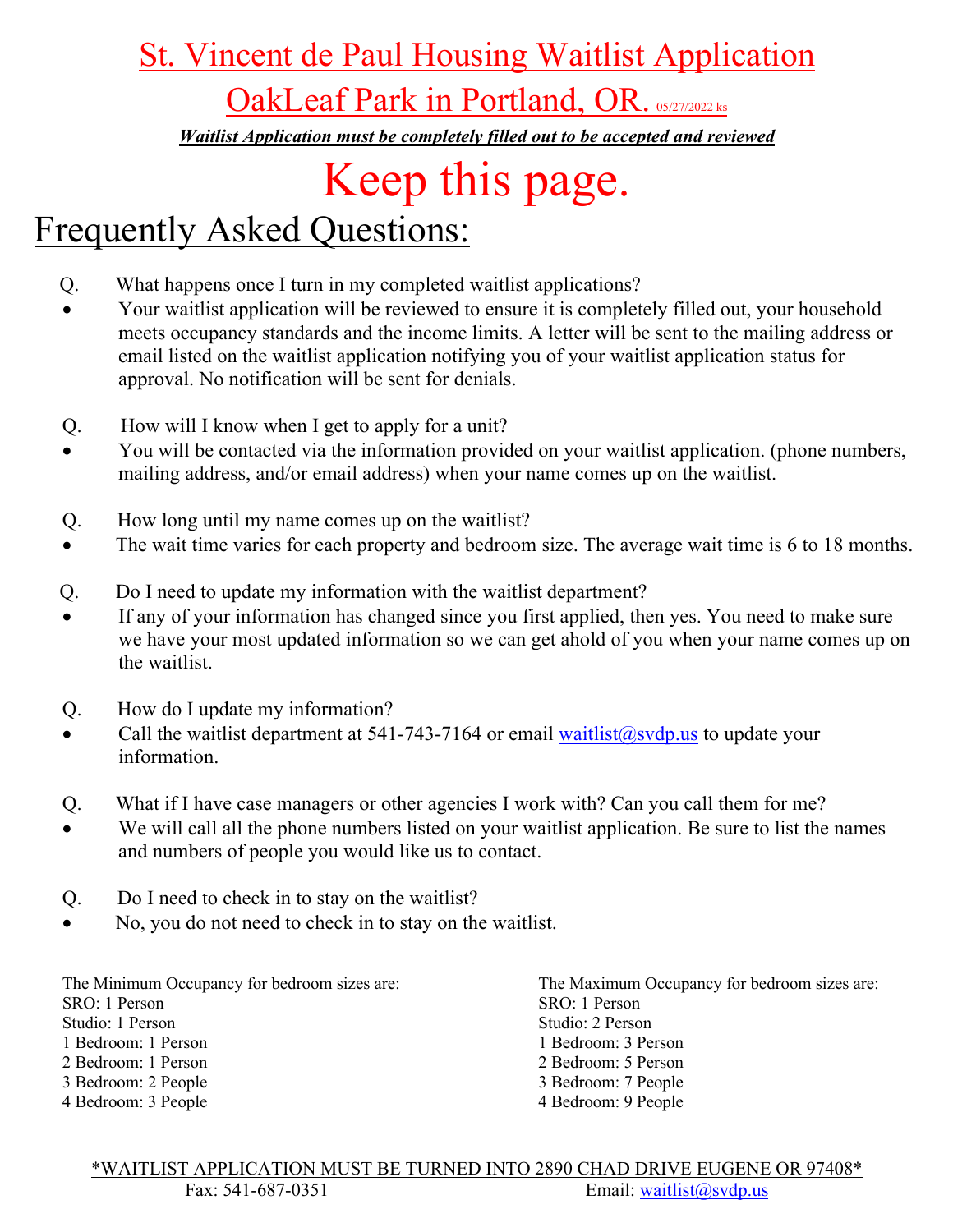#### St. Vincent de Paul Housing Waitlist Application OakLeaf Park in Portland, OR. 05/27/2022 ks

*Waitlist Application must be completely filled out to be accepted and reviewed*

### Keep this page. Frequently Asked Questions:

#### Q. What happens once I turn in my completed waitlist applications?

- Your waitlist application will be reviewed to ensure it is completely filled out, your household meets occupancy standards and the income limits. A letter will be sent to the mailing address or email listed on the waitlist application notifying you of your waitlist application status for approval. No notification will be sent for denials.
- Q. How will I know when I get to apply for a unit?
- You will be contacted via the information provided on your waitlist application. (phone numbers, mailing address, and/or email address) when your name comes up on the waitlist.
- Q. How long until my name comes up on the waitlist?
- The wait time varies for each property and bedroom size. The average wait time is 6 to 18 months.
- Q. Do I need to update my information with the waitlist department?
- If any of your information has changed since you first applied, then yes. You need to make sure we have your most updated information so we can get ahold of you when your name comes up on the waitlist.
- Q. How do I update my information?
- Call the waitlist department at 541-743-7164 or email waitlist@svdp.us to update your information.
- Q. What if I have case managers or other agencies I work with? Can you call them for me?
- We will call all the phone numbers listed on your waitlist application. Be sure to list the names and numbers of people you would like us to contact.
- Q. Do I need to check in to stay on the waitlist?
- No, you do not need to check in to stay on the waitlist.

The Minimum Occupancy for bedroom sizes are: The Maximum Occupancy for bedroom sizes are: SRO: 1 Person SRO: 1 Person Studio: 1 Person Studio: 2 Person Studio: 2 Person 1 Bedroom: 1 Person 1 Bedroom: 3 Person 2 Bedroom: 1 Person 2 Bedroom: 5 Person 3 Bedroom: 2 People 3 Bedroom: 7 People 4 Bedroom: 3 People 4 Bedroom: 9 People

\*WAITLIST APPLICATION MUST BE TURNED INTO 2890 CHAD DRIVE EUGENE OR 97408\* Fax: 541-687-0351 Email: waitlist@svdp.us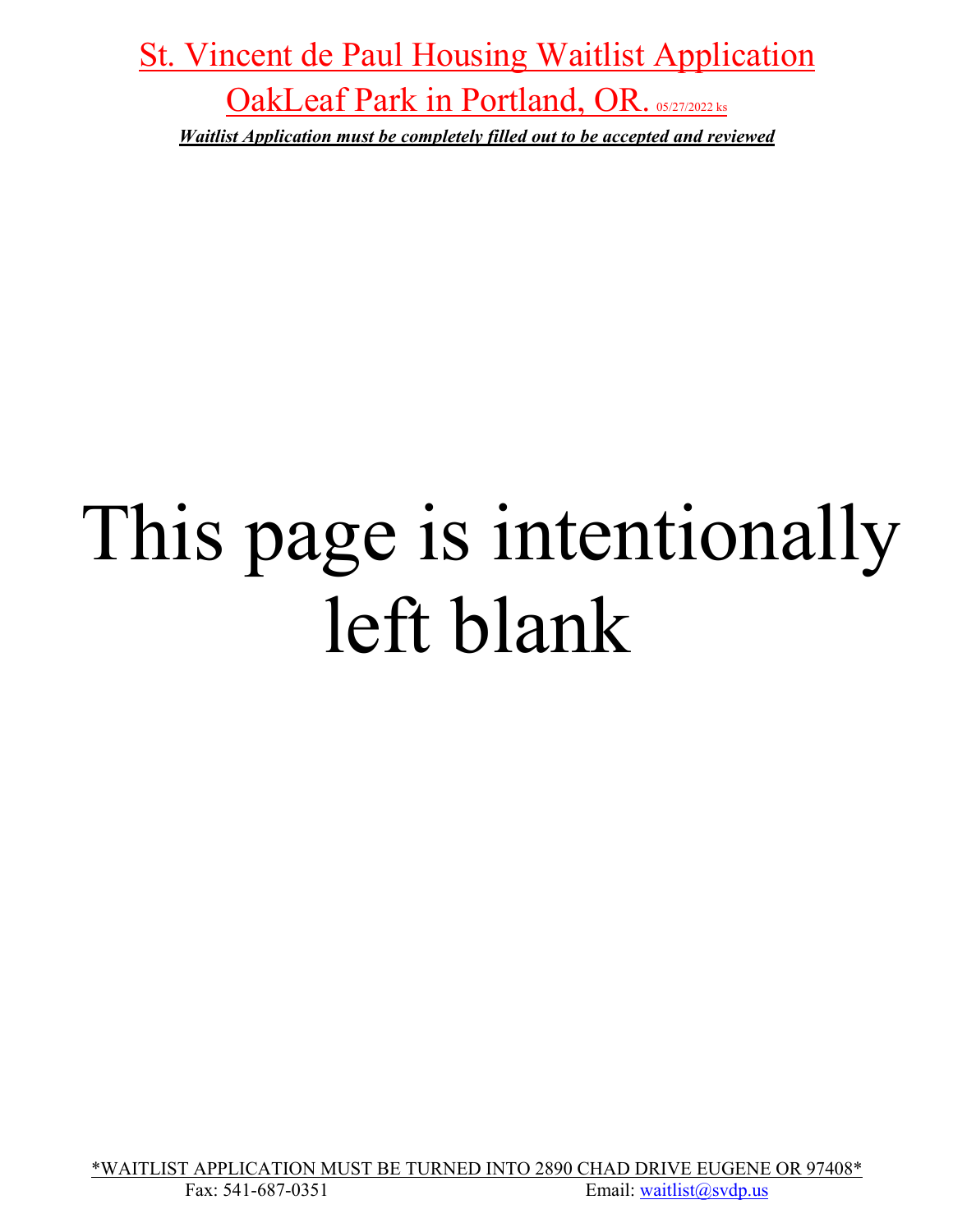St. Vincent de Paul Housing Waitlist Application OakLeaf Park in Portland, OR. 05/27/2022 ks

*Waitlist Application must be completely filled out to be accepted and reviewed*

# This page is intentionally left blank

\*WAITLIST APPLICATION MUST BE TURNED INTO 2890 CHAD DRIVE EUGENE OR 97408\* Fax: 541-687-0351 Email: waitlist@svdp.us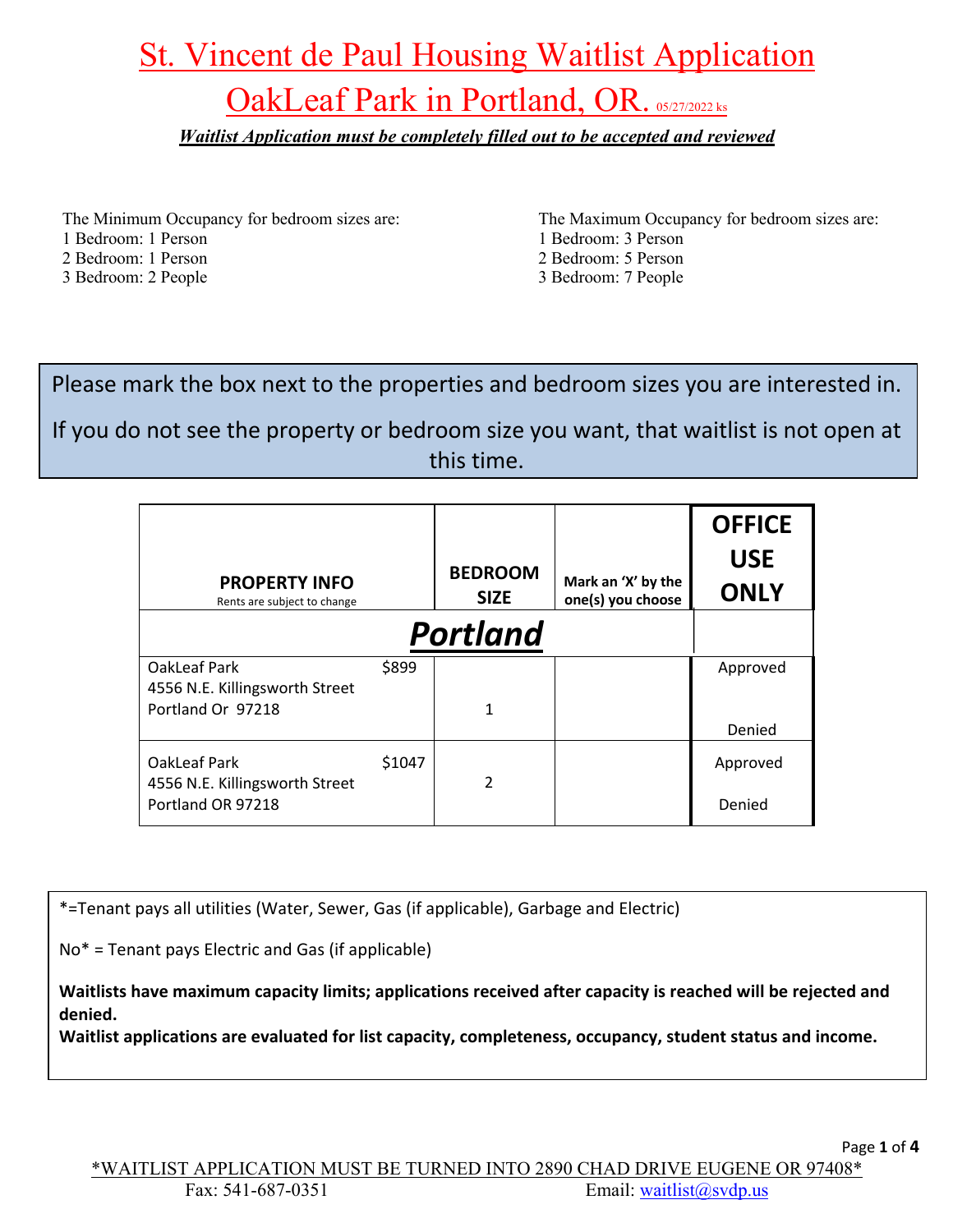#### OakLeaf Park in Portland, OR. 05/27/2022 ks

*Waitlist Application must be completely filled out to be accepted and reviewed*

1 Bedroom: 1 Person 1 Bedroom: 3 Person 2 Bedroom: 1 Person 2 Bedroom: 5 Person 3 Bedroom: 2 People 3 Bedroom: 7 People

The Minimum Occupancy for bedroom sizes are: The Maximum Occupancy for bedroom sizes are:

Page **1** of **4**

Please mark the box next to the properties and bedroom sizes you are interested in.

If you do not see the property or bedroom size you want, that waitlist is not open at this time.

| <b>PROPERTY INFO</b><br>Rents are subject to change |        | <b>BEDROOM</b><br><b>SIZE</b><br><b>Portland</b> | Mark an 'X' by the<br>one(s) you choose | <b>OFFICE</b><br><b>USE</b><br><b>ONLY</b> |
|-----------------------------------------------------|--------|--------------------------------------------------|-----------------------------------------|--------------------------------------------|
|                                                     |        |                                                  |                                         |                                            |
| <b>OakLeaf Park</b>                                 | \$899  |                                                  |                                         | Approved                                   |
| 4556 N.E. Killingsworth Street                      |        |                                                  |                                         |                                            |
| Portland Or 97218                                   |        | 1                                                |                                         | Denied                                     |
| <b>OakLeaf Park</b>                                 | \$1047 |                                                  |                                         | Approved                                   |
| 4556 N.E. Killingsworth Street<br>Portland OR 97218 |        | 2                                                |                                         | Denied                                     |

\*=Tenant pays all utilities (Water, Sewer, Gas (if applicable), Garbage and Electric)

No\* = Tenant pays Electric and Gas (if applicable)

**Waitlists have maximum capacity limits; applications received after capacity is reached will be rejected and denied.** 

**Waitlist applications are evaluated for list capacity, completeness, occupancy, student status and income.**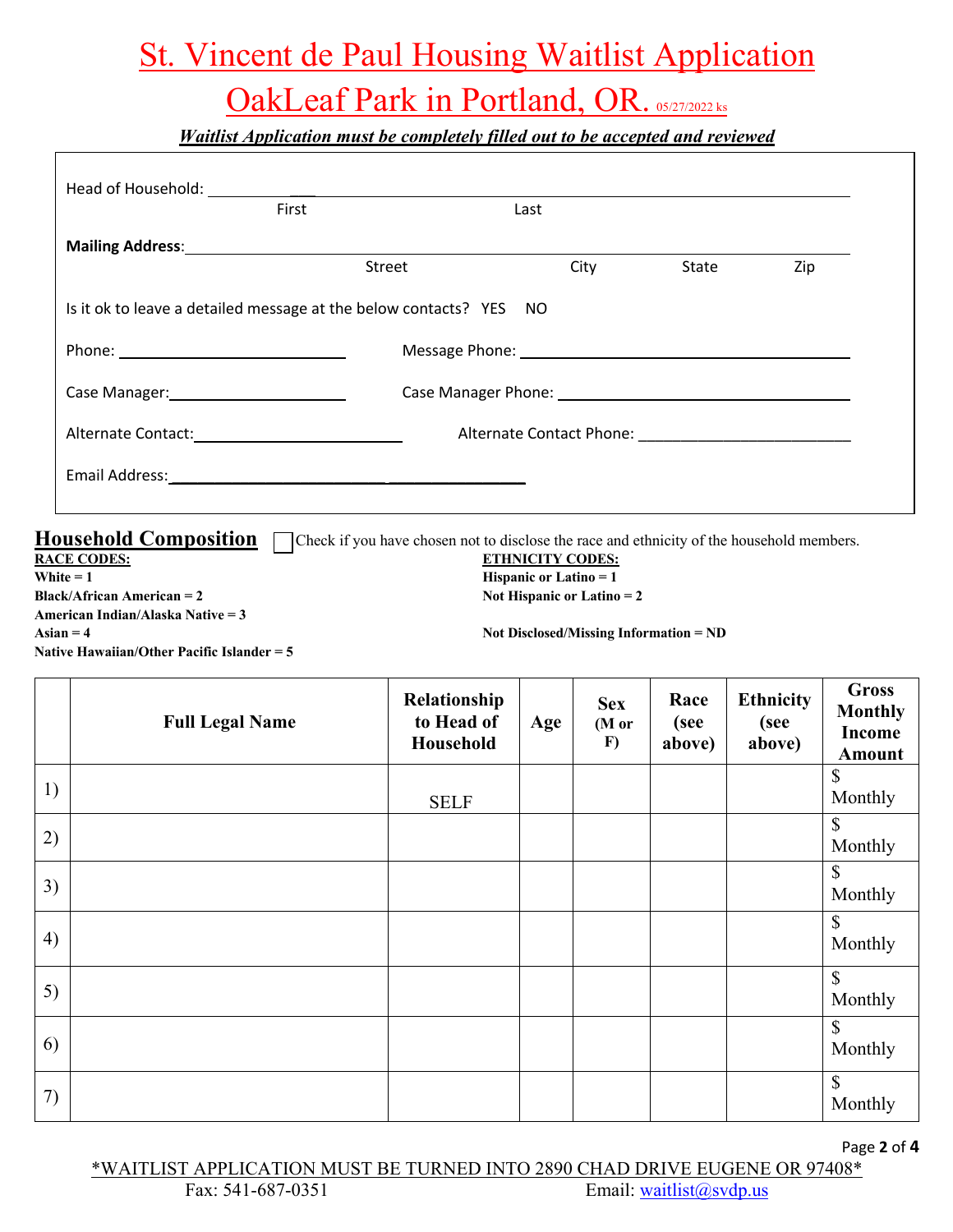#### OakLeaf Park in Portland, OR. 05/27/2022 ks

*Waitlist Application must be completely filled out to be accepted and reviewed*

|    |                                                                                                                                                                                                                                                                                                           | First |                                         | Last                                                |                                 |                                        |                                    |                                                                  |
|----|-----------------------------------------------------------------------------------------------------------------------------------------------------------------------------------------------------------------------------------------------------------------------------------------------------------|-------|-----------------------------------------|-----------------------------------------------------|---------------------------------|----------------------------------------|------------------------------------|------------------------------------------------------------------|
|    | Mailing Address:<br>Mailing Address:<br>Mailing Address:                                                                                                                                                                                                                                                  |       |                                         |                                                     |                                 |                                        |                                    |                                                                  |
|    |                                                                                                                                                                                                                                                                                                           |       | Street                                  |                                                     | City                            | State                                  | Zip                                |                                                                  |
|    | Is it ok to leave a detailed message at the below contacts? YES NO                                                                                                                                                                                                                                        |       |                                         |                                                     |                                 |                                        |                                    |                                                                  |
|    |                                                                                                                                                                                                                                                                                                           |       |                                         |                                                     |                                 |                                        |                                    |                                                                  |
|    | Case Manager: 1997 - 1998 - 1999 - 1999 - 1999 - 1999 - 1999 - 1999 - 1999 - 1999 - 1999 - 1999 - 1999 - 1999                                                                                                                                                                                             |       |                                         |                                                     |                                 |                                        |                                    |                                                                  |
|    |                                                                                                                                                                                                                                                                                                           |       |                                         |                                                     |                                 |                                        |                                    |                                                                  |
|    |                                                                                                                                                                                                                                                                                                           |       |                                         |                                                     |                                 |                                        |                                    |                                                                  |
|    | <b>Household Composition</b> $\Box$ Check if you have chosen not to disclose the race and ethnicity of the household members.<br><b>RACE CODES:</b><br>White $= 1$<br><b>Black/African American = 2</b><br>American Indian/Alaska Native = 3<br>Asian $=$ 4<br>Native Hawaiian/Other Pacific Islander = 5 |       |                                         | <b>ETHNICITY CODES:</b><br>Hispanic or Latino $= 1$ | Not Hispanic or Latino $= 2$    | Not Disclosed/Missing Information = ND |                                    |                                                                  |
|    | <b>Full Legal Name</b>                                                                                                                                                                                                                                                                                    |       | Relationship<br>to Head of<br>Household | Age                                                 | <b>Sex</b><br>(M or<br>$\bf{F}$ | Race<br>(see<br>above)                 | <b>Ethnicity</b><br>(see<br>above) | <b>Gross</b><br><b>Monthly</b><br><b>Income</b><br><b>Amount</b> |
| 1) |                                                                                                                                                                                                                                                                                                           |       | <b>SELF</b>                             |                                                     |                                 |                                        |                                    | $\mathbb{S}$<br>Monthly                                          |
| 2) |                                                                                                                                                                                                                                                                                                           |       |                                         |                                                     |                                 |                                        |                                    | $\mathbb{S}$<br>Monthly                                          |
| 3) |                                                                                                                                                                                                                                                                                                           |       |                                         |                                                     |                                 |                                        |                                    | $\mathbb{S}$<br>Monthly                                          |
| 4) |                                                                                                                                                                                                                                                                                                           |       |                                         |                                                     |                                 |                                        |                                    | $\mathcal{S}$<br>Monthly                                         |
| 5) |                                                                                                                                                                                                                                                                                                           |       |                                         |                                                     |                                 |                                        |                                    | $\mathbb{S}$<br>Monthly                                          |
| 6) |                                                                                                                                                                                                                                                                                                           |       |                                         |                                                     |                                 |                                        |                                    | $\mathcal{S}$<br>Monthly                                         |
| 7) |                                                                                                                                                                                                                                                                                                           |       |                                         |                                                     |                                 |                                        |                                    | $\mathbf S$<br>Monthly                                           |

Page **2** of **4**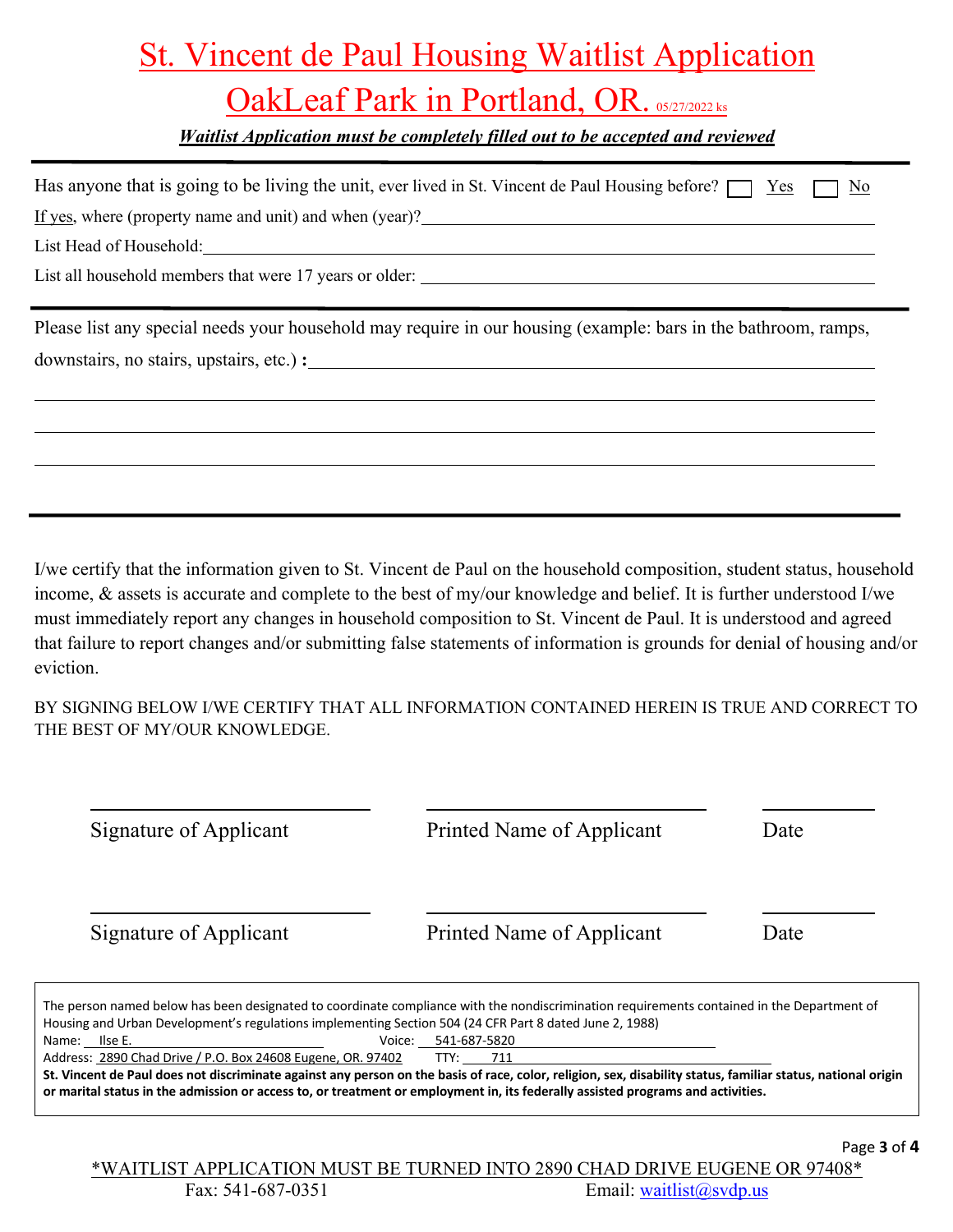#### OakLeaf Park in Portland, OR. 05/27/2022 ks

*Waitlist Application must be completely filled out to be accepted and reviewed*

| Has anyone that is going to be living the unit, ever lived in St. Vincent de Paul Housing before? $\Box$ Yes   |
|----------------------------------------------------------------------------------------------------------------|
| If yes, where (property name and unit) and when (year)?                                                        |
| List Head of Household: List Annual Communication of Household:                                                |
|                                                                                                                |
| Please list any special needs your household may require in our housing (example: bars in the bathroom, ramps, |
| downstairs, no stairs, upstairs, etc.) :                                                                       |
|                                                                                                                |
|                                                                                                                |
|                                                                                                                |

I/we certify that the information given to St. Vincent de Paul on the household composition, student status, household income, & assets is accurate and complete to the best of my/our knowledge and belief. It is further understood I/we must immediately report any changes in household composition to St. Vincent de Paul. It is understood and agreed that failure to report changes and/or submitting false statements of information is grounds for denial of housing and/or eviction.

BY SIGNING BELOW I/WE CERTIFY THAT ALL INFORMATION CONTAINED HEREIN IS TRUE AND CORRECT TO THE BEST OF MY/OUR KNOWLEDGE.

| Signature of Applicant                                                                                                                                                                                                                                 | Printed Name of Applicant | Date |  |
|--------------------------------------------------------------------------------------------------------------------------------------------------------------------------------------------------------------------------------------------------------|---------------------------|------|--|
| Signature of Applicant                                                                                                                                                                                                                                 | Printed Name of Applicant | Date |  |
|                                                                                                                                                                                                                                                        |                           |      |  |
| The person named below has been designated to coordinate compliance with the nondiscrimination requirements contained in the Department of                                                                                                             |                           |      |  |
| Housing and Urban Development's regulations implementing Section 504 (24 CFR Part 8 dated June 2, 1988)                                                                                                                                                |                           |      |  |
| Name: Ilse E.<br>Voice:<br>Address: 2890 Chad Drive / P.O. Box 24608 Eugene, OR. 97402<br>St. Vincent de Paul does not discriminate against any person on the basis of race, color, religion, sex, disability status, familiar status, national origin | 541-687-5820<br>TTY: 711  |      |  |

\*WAITLIST APPLICATION MUST BE TURNED INTO 2890 CHAD DRIVE EUGENE OR 97408\* Fax: 541-687-0351 Email: waitlist@svdp.us